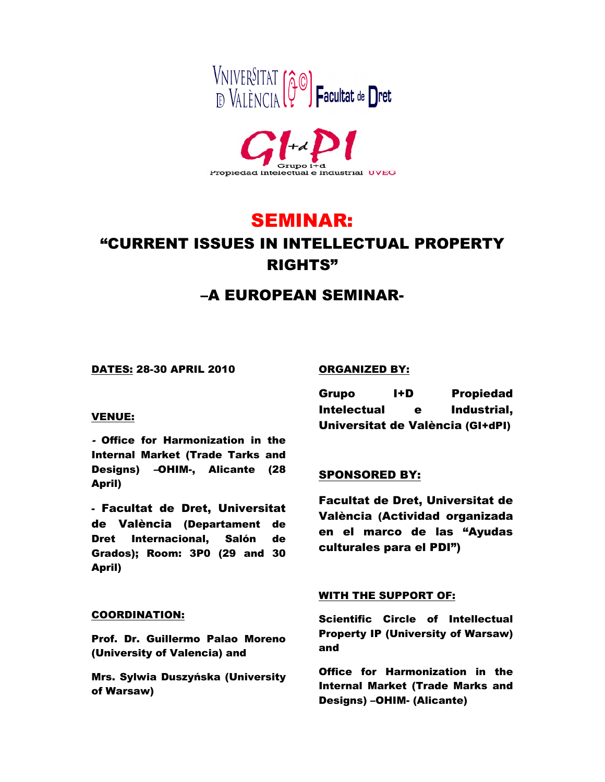



# SEMINAR: "CURRENT ISSUES IN INTELLECTUAL PROPERTY RIGHTS"

# –A EUROPEAN SEMINAR-

DATES: 28-30 APRIL 2010

#### VENUE:

- Office for Harmonization in the Internal Market (Trade Tarks and Designs) –OHIM-, Alicante (28 April)

- Facultat de Dret, Universitat de València (Departament de Dret Internacional, Salón de Grados); Room: 3P0 (29 and 30 April)

#### COORDINATION:

Prof. Dr. Guillermo Palao Moreno (University of Valencia) and

Mrs. Sylwia Duszyńska (University of Warsaw)

## ORGANIZED BY:

Grupo I+D Propiedad Intelectual e Industrial, Universitat de València (GI+dPI)

# SPONSORED BY:

Facultat de Dret, Universitat de València (Actividad organizada en el marco de las "Ayudas culturales para el PDI")

## WITH THE SUPPORT OF:

Scientific Circle of Intellectual Property IP (University of Warsaw) and

Office for Harmonization in the Internal Market (Trade Marks and Designs) –OHIM- (Alicante)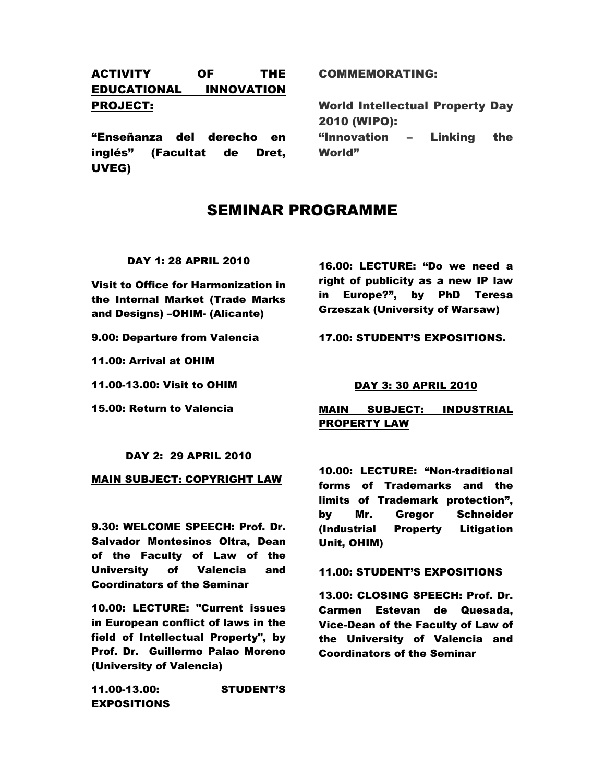# ACTIVITY OF THE EDUCATIONAL INNOVATION PROJECT:

"Enseñanza del derecho en inglés" (Facultat de Dret, UVEG)

## COMMEMORATING:

World Intellectual Property Day 2010 (WIPO): "Innovation – Linking the World"

# SEMINAR PROGRAMME

#### DAY 1: 28 APRIL 2010

Visit to Office for Harmonization in the Internal Market (Trade Marks and Designs) –OHIM- (Alicante)

9.00: Departure from Valencia

11.00: Arrival at OHIM

11.00-13.00: Visit to OHIM

15.00: Return to Valencia

16.00: LECTURE: "Do we need a right of publicity as a new IP law in Europe?", by PhD Teresa Grzeszak (University of Warsaw)

17.00: STUDENT'S EXPOSITIONS.

#### DAY 3: 30 APRIL 2010

## MAIN SUBJECT: INDUSTRIAL PROPERTY LAW

#### DAY 2: 29 APRIL 2010

MAIN SUBJECT: COPYRIGHT LAW

9.30: WELCOME SPEECH: Prof. Dr. Salvador Montesinos Oltra, Dean of the Faculty of Law of the University of Valencia and Coordinators of the Seminar

10.00: LECTURE: "Current issues in European conflict of laws in the field of Intellectual Property", by Prof. Dr. Guillermo Palao Moreno (University of Valencia)

11.00-13.00: STUDENT'S EXPOSITIONS

10.00: LECTURE: "Non-traditional forms of Trademarks and the limits of Trademark protection", by Mr. Gregor Schneider (Industrial Property Litigation Unit, OHIM)

#### 11.00: STUDENT'S EXPOSITIONS

13.00: CLOSING SPEECH: Prof. Dr. Carmen Estevan de Quesada, Vice-Dean of the Faculty of Law of the University of Valencia and Coordinators of the Seminar